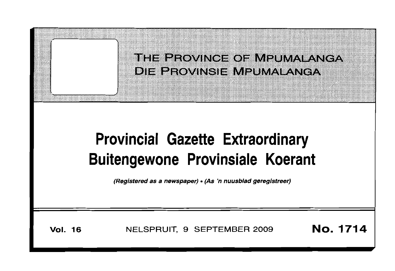

# **Provincial Gazette Extraordinary Buitengewone Provinsiale Koerant**

(Registered as a newspaper) • (As 'n nuusblad geregistreer)

**Vol. 16** NELSPRUIT, 9 SEPTEMBER 2009 **No. 1714**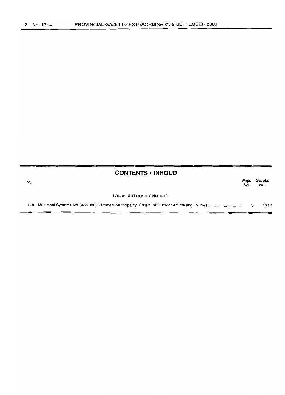| <b>CONTENTS • INHOUD</b> |  |
|--------------------------|--|
|--------------------------|--|

| No. |                               | Page<br>No. | Gazette<br>No. |
|-----|-------------------------------|-------------|----------------|
|     | <b>LOCAL AUTHORITY NOTICE</b> |             |                |
|     |                               |             | 1714           |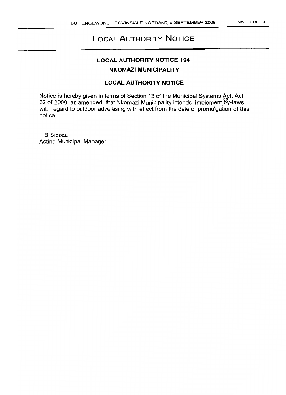## **LOCAL AUTHORITY NOTICE**

## **LOCAL AUTHORITY NOTICE 194**

## **NKOMAZI MUNICIPALITY**

## **LOCAL AUTHORITY NOTICE**

Notice is hereby given in terms of Section 13 of the Municipal Systems Act, Act 32 of 2000, as amended, that Nkomazi Municipality intends implement by-laws with regard to outdoor advertising with effect from the date of promulgation of this notice.

T B Siboza Acting Municipal Manager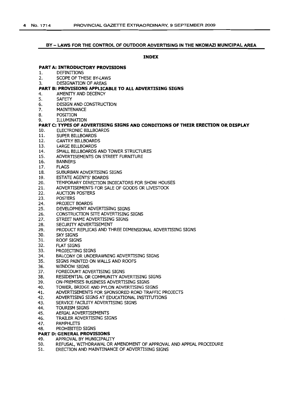#### **BY - LAWS FOR THE CONTROL OF OUTDOOR ADVERTISING IN THE NKOMAZI MUNICIPAL AREA**

## **INDEX**

#### **PART A: INTRODUCTORY PROVISIONS**

- 1. DEFINITIONS
- 2. SCOPE OFTHESE BY-LAWS
- 3. DESIGNATION OF AREAS

#### **PART B: PROVISIONS APPLICABLE TO ALL ADVERTISING SIGNS**

- 4. AMENITY AND DECENCY
- 5. SAFETY
- 6. DESIGN AND CONSTRUCTION
- 7. MAINTENANCE
- 8. POSITION<br>9. THUMINA
- **ILLUMINATION**

#### **PART C: TYPES OF ADVERTISING SIGNS AND CONDITIONS OF THEIR ERECTION OR DISPLAY** 10. ELECTRONIC BILLBOARDS

- 11. SUPER BILLBOARDS
- 12. GANTRY BILLBOARDS
- 13. LARGE BILLBOARDS
- 14. SMALL BILLBOARDS AND TOWER STRUCTURES
- 15. ADVERTISEMENTS ON STREET FURNITURE
- 16. BANNERS
- 17. FLAGS
- 18. SUBURBAN ADVERTISING SIGNS
- 19. ESTATE AGENTS' BOARDS
- 20. TEMPORARY DIRECTION INDICATORS FOR SHOW HOUSES
- 21. ADVERTISEMENTS FOR SALE OF GOODS OR LIVESTOCK
- 22. AUCTION POSTERS
- 23. POSTERS
- 24. PROJECT BOARDS
- 25. DEVELOPMENT ADVERTISING SIGNS
- 26. CONSTRUCTION SITE ADVERTISING SIGNS
- 27. STREET NAME ADVERTISING SIGNS
- 28. SECURITY ADVERTISEMENT
- 29. PRODUCT REPLICAS AND THREE DIMENSIONAL ADVERTISING SIGNS
- 30. SKYSIGNS
- 31. ROOF SIGNS
- 32. FLAT SIGNS
- 33. PROJECTING SIGNS
- 34. BALCONY OR UNDERAWNING ADVERTISING SIGNS
- 35. SIGNSPAINTED ON WALLS AND ROOFS
- 36. WINDOW SIGNS
- 37. FORECOURT ADVERTISING SIGNS
- 38. RESIDENTIAL OR COMMUNITY ADVERTISING SIGNS
- 39. ON-PREMISES BUSINESS ADVERTISING SIGNS
- 40. TOWER, BRIDGE AND PYLON ADVERTISING SIGNS
- 41. ADVERTISEMENTS FOR SPONSORED ROAD TRAFFIC PROJECTS
- 42. ADVERTISING SIGNSAT EDUCATIONAL INSTITUTIONS
- 43. SERVICE FACILITY ADVERTISING SIGNS
- 44. TOURISM SIGNS
- 45. AERIALADVERTISEMENTS
- 46. TRAILERADVERTISING SIGNS
- 47. PAMPHLETS

48. PROHIBITED SIGNS

#### **PART 0: GENERAL PROVISIONS**

- 49. APPROVAL BY MUNICIPALITY
- 50. REFUSAL, WITHDRAWAL OR AMENDMENT OF APPROVAL AND APPEAL PROCEDURE<br>51. REFECTION AND MAINTENANCE OF ADVERTISING SIGNS
- ERECTION AND MAINTENANCE OF ADVERTISING SIGNS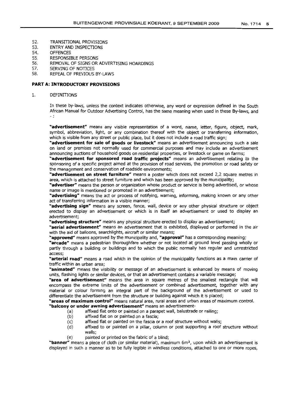- 52. TRANSITIONAL PROVISIONS
- 53. ENTRY AND INSPECTIONS
- 54. OFFENCES
- 55. RESPONSIBLE PERSONS
- 56. REMOVAL OF SIGNS OR ADVERTISING HOARDINGS
- 57. SERVING OF NOTICES
- 58. REPEAL OF PREVIOUS BY-LAWS

## **PART A: INTRODUCTORY PROVISIONS**

## 1. DEFINITIONS

In these by-laws, unless the context indicates otherwise, any word or expression defined in the South African Manual for Outdoor Advertising Control, has the same meaning when used in these By-laws, and  $\overline{a}$ 

**"advertisement"** means any visible representation of a word, name, letter, figure, object, mark, symbol, abbreviation, light, or any combination thereof with the object or transferring information, which is visible from any street or public place, but it does not include a road traffic sign;

**"advertisement for sale of goods or livestock"** means an advertisement announcing such a sale on land or premises not normally used for commercial purposes and may include an advertisement announcing auctions of household goods on residential properties, or livestock or game on farms;

**"advertisement for sponsored road traffic projects"** means an advertisement relating to the sponsoring of a specific project aimed at the provision of road services, the promotion or road safety or the management and conservation of roadside environments;

**"advertisement on street furniture"** means a poster which does not exceed 2,2 square metres in area, which is attached to street furniture and which has been approved by the municipality;

**"advertiser"** means the person or organization whose product or service is being advertised, or whose name or image is mentioned or promoted in an advertisement;

**"advertising"** means the act or process of notifying, warning, informing, making known or any other act of transferring information in a visible manner;

**"advertising sign"** means any screen, fence, wall, device or any other physical structure or object erected to display an advertisement or which is in itself an advertisement or used to display an advertisement;

**"advertising structure"** means any physical structure erected to display an advertisement;

**"aerial advertisement"** means an advertisement that is exhibited, displayed or performed in the air with the aid of balloons, searchlights, aircraft or similar means;

**"approved"** means approved by the municipality and, **"approval"** has a corresponding meaning;

**"arcade"** means a pedestrian thoroughfare whether or not located at ground level passing wholly or partly through a building or buildings and to which the public normally has regular and unrestricted access;

**"arterial road"** means a road which in the opinion of the municipality functions as a main carrier of traffic within an urban area;

**"animated"** means the visibility or message of an advertisement is enhanced by means of moving units, flashing lights or similar devices, or that an advertisement contains a variable message;

**"area of advertisement"** means the area in square metres of the smallest rectangle that will encompass the extreme limits of the advertisement or combined advertisement, together with any material or colour forming an integral part of the background of the advertisement or used to differentiate the advertisement from the structure or building against which it is placed;

**"areas of maximum control"** means natural area, rural areas and urban areas of maximum control.

## **"balcony or under awning advertisement"** means an advertisement-

- (a) affixed flat onto or painted on a parapet wall, balustrade or railing;
	- (b) affixed flat on or painted on a fascia;
	- (c) affixed flat or painted on the fascia or a roof structure without walls;
	- (d) affixed to or painted on a pillar, column or post supporting a roof structure without walls;
	- (e) painted or printed on the fabric of a blind;

**"banner"** means a piece of cloth (or similar material), maximum 6m<sup>2</sup> , upon which an advertisement is displayed in such a manner as to be fully legible in windless conditions, attached to one or more ropes,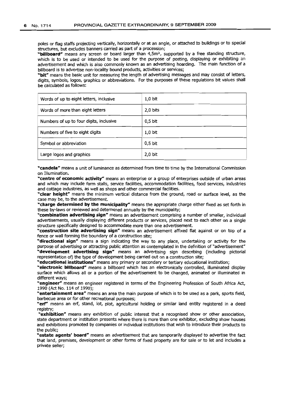poles or flag staffs projecting vertically, horizontally or at an angle, or attached to buildings or to special structures, but excludes banners carried as part of a procession;

**"billboard"** means any screen or board larger than 4,5m<sup>2</sup> , supported by a free standing structure, which is to be used or intended to be used for the purpose of posting, displaying or exhibiting an advertisement and which is also commonly known as an advertising hoarding. The main function of a billboard is to advertise non-locality bound products, activities or services;

**"bit"** means the basic unit for measuring the length of advertising messages and may consist of letters, digits, symbols, logos, graphics or abbreviations. For the purposes of these regulations bit values shall be calculated as follows:

| Words of up to eight letters, inclusive | $1,0$ bit |
|-----------------------------------------|-----------|
| Words of more than eight letters        | 2,0 bits  |
| Numbers of up to four digits, inclusive | $0,5$ bit |
| Numbers of five to eight digits         | $1,0$ bit |
| Symbol or abbreviation                  | $0,5$ bit |
| Large logos and graphics                | $2,0$ bit |

**"candela"** means a unit of luminance as determined from time to time by the International Commission on Illumination.

**"centre of economic activity"** means an enterprise or a group of enterprises outside of urban areas and which may include farm stalls, service facilities, accommodation facilities, food services, industries and cottage industries, as well as shops and other commercial facilities.

**"clear height"** means the minimum vertical distance from the ground, road or surface level, as the case may be, to the advertisement.

**"charge determined by the municipality"** means the appropriate charge either fixed as set forth in these by-laws or reviewed and determined annually by the municipality;

**"combination advertising sign"** means an advertisement comprising a number of smaller, individual advertisements, usually displaying different products or services, placed next to each other on a single structure specifically designed to accommodate more than one advertisement.

**"construction site advertising sign"** means an advertisement affixed flat against or on top of a fence or wall forming the boundary of a construction site;

**"directional sign"** means a sign indicating the way to any place, undertaking or activity for the purpose of advertising or attracting public attention as contemplated in the definition of "advertisement" **"development advertising sign"** means an advertising sign describing (including pictorial representation of) the type of development being carried out on a construction site;

**"educational institutions"** means any primary or secondary or tertiary educational institution;

**"electronic billboard"** means a billboard which has an electronically controlled, illuminated display surface which allows all or a portion of the advertisement to be changed, animated or illuminated in different ways;

**"engineer"** means an engineer registered in terms of the Engineering Profession of South Africa Act, 1990 (Act No. 114 of 1990);

**"entertainment area"** means an area the main purpose of which is to be used as a park, sports field, barbecue area or for other recreational purposes;

**"erf"** means an erf, stand, lot, plot, agricultural holding or similar land entity registered in a deed registry;

**"exhibition"** means any exhibition of public interest that a recognised show or other association, state department or institution presents where there is more than one exhibitor, excluding show houses and exhibitions promoted by companies or individual institutions that wish to introduce their products to the public;

**"estate agents' board"** means an advertisement that are temporarily displayed to advertise the fact that land, premises, development or other forms of fixed property are for sale or to let and includes a private seller;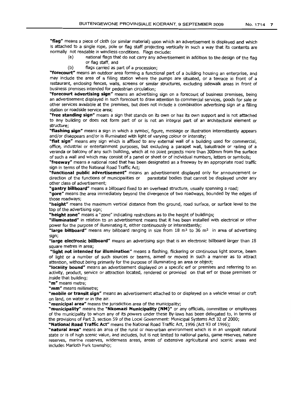"flag" means a piece of cloth (or similar material) upon which an advertisement is displayed and which is attached to a single rope, pole or flag staff projecting vertically in such a way that its contents are normally not readable in windless conditions. Flags exclude:

- (a) national flaqs that do not carry any advertisement in addition to the design of the flag or flag staff, and
- (b) flags carried as part of a procession;

"forecourt" means an outdoor area forming a functional part of a building housing an enterprise, and may include the area of a filling station where the pumps are situated, or a terrace in front of a restaurant, enclosing fences, walls, screens or similar structures, excluding sidewalk areas in front of business premises intended for pedestrian circulation;

"forecourt advertising sign" means an advertising sign on a forecourt of business premises, being an advertisement displayed in such forecourt to draw attention to commercial services, goods for sale or other services available at the premises, but does not include a combination advertising sign at a filling station or roadside service area;

"free standing sign" means a sign that stands on its own or has its own support and is not attached to any building or does not form part of or is not an integral part of an architectural element or structure;

"flashing sign" means a sign in which a symbol, figure, message or illustration intermittently appears and/or disappears and/or is illuminated with light of varying colour or intensity;

"**flat sign"** means any sign which is affixed to any external wall of a building used for commercial, office, industrial or entertainment purposes, but excluding a parapet wall, balustrade or railing of a veranda or balcony of any such building, which at no point projects more than 300mm from the surface of such a wall and which may consist of a panel or sheet or of individual numbers, letters or symbols;

"freeway" means a national road that has been designated as a freeway by an appropriate road traffic sign in terms of the National Road Traffic Act;

"**functional public advertisement**" means an advertisement displayed only for announcement or direction of the functions of municipalities or parastatal bodies that cannot be displayed under any parastatal bodies that cannot be displayed under any other class of advertisement;

"gantry billboard" means a billboard fixed to an overhead structure, usually spanning a road;

"gore" means the area immediately beyond the divergence of two roadways, bounded by the edges of those roadways;

"height" means the maximum vertical distance from the ground, road surface, or surface level to the top of the advertising sign;

"height zone" means a "zone" indicating restrictions as to the height of buildings;

"illuminated" in relation to an advertisement means that it has been installed with electrical or other power for the purpose of illuminating it, either continuously or intermittently;

"large billboard" means any billboard ranging in size from 18  $m<sup>2</sup>$  to 36  $m<sup>2</sup>$  in area of advertising sign;

"large electronic billboard" means an advertising sign that is an electronic billboard larger than 18 square metres in area;

"light not intended for illumination" means a flashing, flickering or continuous light source, beam of light or a number of such sources or beams, aimed or moved in such a manner as to attract attention, without being primarily for the purpose of illuminating an area or object;

"locality bound" means an advertisement displayed on a specific erf or premises and referring to an activity, product, service or attraction located, rendered or provided on that erf or those premises or inside that building;

"m" means metre;

"mm" means millimetre;

"mobile or transit sign" means an advertisement attached to or displayed on a vehicle vessel or craft on land, on water or in the air.

"municipal area" means the jurisdiction area of the municipality;

"municipality" means the "Nkomazi Municipality (NM)" or any officials, committee or employees of the municipality to whom any of its powers under these By-laws has been delegated to, in terms of the provisions of Part 3, section 59 of the Local Government: Municipal Systems Act 32 of 2000;

"National Road Traffic Act" means the National Road Traffic Act, 1996 (Act 93 of 1996);

"natural area" means an area of the rural or non-urban environment which is in an unspoilt natural state or is of high scenic value, and includes, but is not limited to national parks, game reserves, nature reserves, marine reserves, wilderness areas, areas of extensive agricultural and scenic areas and includes Marloth Park township;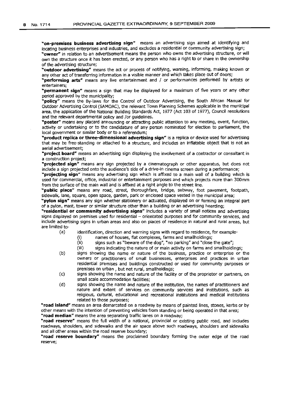**"on-premises business advertising sign"** means an advertising sign aimed at identifying and locating business enterprises and industries, and excludes a residential or community advertising sign; **"owner"** in relation to an advertisement means the person who owns the advertising structure, or will own the structure once it has been erected, or any person who has a right to or share in the ownership of the advertising structure;

**"outdoor advertising"** means the act or process of notifying, warning, informing, making known or any other act of transferring information in a visible manner and which takes place out of doors;

**"performing arts"** means any live entertainment and I or performances performed by artists or entertainers;

**"permanent sign"** means a sign that may be displayed for a maximum of five years or any other period approved by the municipality;

**"policy"** means the By-laws for the Control of Outdoor Advertising, the South African Manual for Outdoor Advertising Control (SAMOAC), the relevant Town Planning Schemesapplicable in the municipal area, the application of the National Building Standards Act, 1977 (Act 103 of 1977), Council resolutions and the relevant departmental policy and *lor* guidelines.

**"poster"** means any placard announcing or attracting public attention to any meeting, event, function, activity or undertaking or to the candidature of any person nominated for election to parliament; the local government or similar body or to a referendum;

**"product replica or three-dimensional advertising sign"** is a replica or device used for advertising that may be free-standing or attached to a structure, and includes an inflatable object that is not an aerial advertisement;

**"project board"** means an advertising sign displaying the involvement of a contractor or consultant in a construction project;

**"projected sign"** means any sign projected by a cinematograph or other apparatus, but does not include a sign projected onto the audience's side of a drive-in cinema screen during a performance;

**"projecting** sign" means any advertising sign which is affixed to a main wall of a bulldlnq which is used for commercial, office, industrial or entertainment purposes and which projects more than 300mm from the surface of the main wall and is affixed at a right angle to the street line.

**"public place"** means any road, street, thoroughfare, bridge, subway, foot pavement, footpath, sidewalk, lane, square, open space, garden, park or enclosed space vested in the municipal area;

**"pylon sign"** means any sign whether stationery or actuated, displayed on or forming an integral part of a pylon, mast, tower or similar structure other than a building or an advertising hoarding;

**"residential or community advertising signs"** includes a variety of small notices and advertising signs displayed on premises used for residential -- orientated purposes and for community services, and include advertising signs in urban areas and also on places of residence in natural and rural areas, but are limited to-

(a) identification, direction and warning signs with regard to residence, for example-

- (i) annes of houses, flat complexes, farms and smallholdings;<br>(ii) signs such as "beware of the dog", "no parking" and "close"
- signs such as "beware of the dog", "no parking" and "close the gate";

(iii) signs indicating the nature of or main activity on farms and smallholdings;

- (b) signs showinq the name or nature of the business, practice or enterprise or the owners or practitioners of small businesses, enterprises and practices in urban residential premises and buildings constructed or used for community purposes or premises on urban, but not rural, smallholdings;
- (c) signs showing the name and nature of the facility or of the proprietor or partners, on small scale accommodation facilities;
- (d) signs showing the name and nature of the institution, the names of practitioners and nature and extent of services on community services and institutions, such as religious, cultural, educational and recreational institutions and medical institutions related to those purposes;

**"road island"** means an area demarcated on a roadway by means of painted lines, stones, kerbs or by other means with the intention of preventing vehicles from standing or being operated in that area;

**"road median"** means the area separating traffic lanes on a roadway;

**"road reserve"** means the full width of a national, provincial or existing public road, and includes roadways, shoulders, and sidewalks and the air space above such roadways, shoulders and sidewalks and all other areas within the road reserve boundary;

**"road reserve boundary"** means the proclaimed boundary forming the outer edge of the road reserve;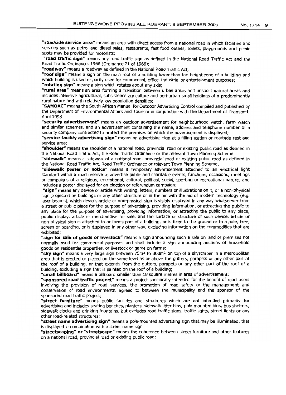**"roadside service area"** means an area with direct access from a national road in which facilities and services such as petrol and diesel sales, restaurants, fast food outlets, toilets, playgrounds and picnic spots may be provided for motorists;

**"road traffic sign"** means any road traffic sign as defined in the National Road Traffic Act and the Road Traffic Ordinance, 1966 (Ordinance 21 of 1966);

**"roadway"** means a roadway as defined in the National RoadTraffic Act;

**"roof sign"** means a sign on the main roof of a building lower than the height zone of a building and which building is used or partly used for commercial, office, industrial or entertainment purposes;

**"rotating sign"** means a sign which rotates about any axis;

**"rural area"** means an area forming a transition between urban areas and unspoilt natural areas and includes intensive agricultural, subsistence agriculture and peri-urban small holdings of a predominantly rural nature and with relatively low population densities;

**"SAMOAC"** means the South African Manual for Outdoor Advertising Control compiled and published by the Department of Environmental Affairs and Tourism in conjunction with the Department of Transport, April 1998.

**"security advertisement"** means an outdoor advertisement for neighbourhood watch, farm watch and similar schemes, and an advertisement containing the name, address and telephone number of a security company contracted to protect the premises on which the advertisement is displayed;

**"service facility advertising sign"** means an advertising sign at a filling station or roadside rest and service area;

**"shoulder"** means the shoulder of a national road, provincial road or existing public road as defined in the National Road Traffic Act, the Road Traffic Ordinance or the relevant Town Planning Scheme.

**"sidewalk"** means a sidewalk of a national road, provincial road or existing public road as defined in the National Road Traffic Act, Road Traffic Ordinance or relevant Town Planning Scheme.

**"sidewalk poster or notice"** means a temporary advertisement attached to an electrical light standard within a road reserve to advertise public and charitable events, functions, occasions, meetings or campaigns of a religious, educational, cultural, political, social, sporting or recreational nature, and includes a poster displayed for an election or referendum campaign;

**"sign"** means any device or article with writing, letters, numbers or illustrations on it, or a non-physical sign projected on buildings or any other structure or in the air with the aid of modern technology (e.g. laser beams), which device, article or non-physical sign is visibly displayed in any way whatsoever from a street or public place for the purpose of advertising, providing information, or attracting the public to any place for the purpose of advertising, providing information, or attracting the public to any place, public display, article or merchandise for sale, and the surface or structure of such device, article or non-physical sign is attached to or forms part of a building, or is fixed to the ground or to a pole, tree, screen or boarding, or is displaved in any other way, excluding information on the commodities that are exhibited;

**"sign for sale of goods or livestock"** means a sign announcing such a sale on land or premises not normally used for commercial purposes and shall include a sign announcing auctions of household goods on residential properties, or livestock or game on farms;

**"sky sign"** means a very large sign between 75m<sup>2</sup> to 300m<sup>2</sup> on top of a skyscraper in a metropolitan area that is erected or placed on the same level as or above the gutters, parapets or any other part of the roof of a building, or that extends from the gutters, parapets or any other part of the roof of a buildinq, excluding a sign that is painted on the roof of a building;

**"small billboard"** means a billboard smaller than 18 square metres in area of advertisement;

**"sponsored road traffic project"** means a project specifically intended for the benefit of road users involving the provision of road services, the promotion of road safety or the management and conservation of road environments, agreed to between the municipality and the sponsor of the sponsored road traffic project;

**"street furniture"** means public facilities and structures which are not intended primarily for advertising and includes seating benches, planters, sidewalk litter bins, pole mounted bins, bus shelters, sidewalk clocks and drinking fountains, but excludes road traffic signs, traffic lights, street lights or any other road-related structures;

**"street name advertising sign"** means a pole-mounted advertising sign that may be illuminated, that is displayed in combination with a street name sign

**"streetscaping" or "streetscape"** means the coherence between street furniture and other features on a national road, provincial road or existing public road;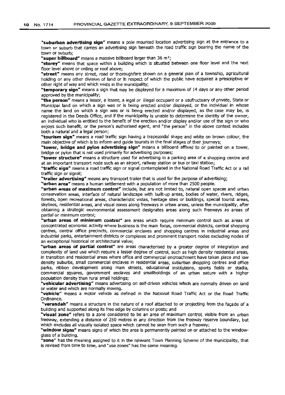**"suburban advertising sign"** means a pole mounted location advertising sign at the entrance to a town or suburb that carries an advertising sign beneath the road traffic sign bearing the name of the town or suburb;

**"super billboard"** means a massive billboard larger than 36 m<sup>2</sup> ;

**"storey"** means that space within a building which is situated between one floor level and the next floor level above or ceiling or roof above;

**"street"** means any street, road or thoroughfare shown on a general plan of a township, agricultural holding or any other division of land or in respect of which the public have acquired a prescriptive or other right of way and which vests in the municipality;

**"temporary sign"** means a sign that may be displayed for a maximum of 14 days or any other period approved by the municipality;

**"the person"** means a lessor, a lessee, a legal or illegal occupant or a usufructuary of private, State or Municipal land on which a sign was or is being erected and/or displayed, or the individual in whose name the land on which a sign was or is being erected and/or displayed, as the case may be, is registered in the Deeds Office, and if the municipality is unable to determine the identity of the owner, an individual who is entitled to the benefit of the erection and/or display and/or use of the sign or who enjoys such benefit, or the person's authorised agent, and "the person" in the above context includes both a natural and a legal person;

**"tourism sign"** means a road traffic sign having a trapezoidal shape and white on brown colour, the main objective of which is to inform and guide tourists in the final stages of their journeys;

**"tower, bridge and pylon advertising sign"** means a billboard affixed to or painted on a tower, bridge or pylon that is not used primarily for advertising purposes;

**"tower structure"** means a structure used for advertising in a parking area of a shopping centre and at an important transport node such as an airport, railway station or bus or taxi station;

**"traffic sign"** means a road traffic sign or signal contemplated in the National Road Traffic Act or a rail traffic sign or signal;

**"trailer advertising"** means any transport trailer that is used for the purpose of advertising;

**"urban area"** means a human settlement with a population of more than 2500 people.

**"urban areas of maximum control"** include, but are not limited to, natural open spaces and urban conservation areas, interface of natural landscape with built-up areas, bodies of water, rivers, ridges, forests, open recreational areas, characteristic vistas, heritage sites or bulldinqs, special tourist areas, skylines, residential areas, and visual zones along freeways in urban areas, unless the municipality, after obtaining a strategic environmental assessment designates areas along such freeways as areas of partial or minimum control;

**"urban areas of minimum control"** are areas which require minimum control such as areas of concentrated economic activity where business is the main focus, commercial districts, central shopping centres, central office precincts, commercial enclaves and shopping centres in industrial areas and industrial parks, entertainment districts or complexes and prominent transport nodes excluding nodes of an exceptional historical or architectural value;

**"urban areas of partial control"** are areas characterised by a greater degree of integration and complexity of land use which require a lesser degree of control, such as high density residential areas, in transition and residential areas where office and commercial encroachment have taken place and low density suburbs, small commercial enclaves in residential areas, suburban shopping centres and office parks, ribbon development along main streets, educational institutions, sports fields or stadia, commercial squares, government enclaves and smallholdings of an urban nature with a higher population density than rural small holdings;

**"vehicular advertising"** means advertising on self-driven vehicles which are normally driven on land or water and which are normally moving.

**"vehicle"** means a motor vehicle as defined in the National Road Traffic Act or the Road Traffic Ordinance.

**"verandah"** means a structure in the nature of a roof attached to or projecting from the facade of a building and supported along its free edge by columns or posts; and

**"visual zone"** refers to a zone considered to be an area of maximum control, visible from an urban freeway, extending a distance of 250 metres in any direction from the freeway reserve boundary, but which excludes all visually isolated space which cannot be seen from such a freeway;

**"window signs"** means signs of which the area is permanently painted on or attached to the windowglass of a building.

**"zone"** has the meaning assigned to it in the relevant Town Planning Scheme of the municipality, that is revised from time to time, and "use zones" has the same meaning.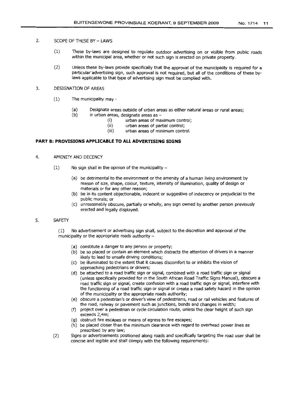- 2. SCOPE OF THESE BY LAWS
	- (1) These by-laws are designed to regulate outdoor advertising on or visible from public roads within the municipal area, whether or not such sign is erected on private property.
	- (2) Unless these by-laws provide specifically that the approval of the municipality is required for a particular advertising sign, such approval is not required, but all of the conditions of these bylaws applicable to that type of advertising sign must be complied with.

## 3. DESIGNATION OF AREAS

- (1) The municipality may
	- (a) Designate areas outside of urban areas as either natural areas or rural areas;<br>(b) in urban areas, designate areas as  $$ 
		- in urban areas, designate areas as -
			- (i) urban areas of maximum control;
			- (ii) urban areas of partial control;
			- (iii) urban areas of minimum control.

## **PART B: PROVISIONS APPLICABLE TO ALLADVERTISING SIGNS**

## 4. AMENITY AND DECENCY

- $(1)$  No sign shall in the opinion of the municipality -
	- (a) be detrimental to the environment or the amenity of a human living environment by reason of size, shape, colour, texture, intensity of illumination, quality of design or materials or for any other reason;
	- (b) be in its content objectionable, indecent or suggestive of indecency or prejudicial to the public morals; or
	- (c) unreasonably obscure, partially or wholly, any sign owned by another person previously erected and legally displayed.

## 5. SAFETY

(1) No advertisement or advertising sign shall, subject to the discretion and approval of the municipality or the appropriate roads authority -

- (a) constitute a danger to any person or property;
- (b) be so placed or contain an element which distracts the attention of drivers in a manner likely to lead to unsafe driving conditions;
- (c) be illuminated to the extent that it causes discomfort to or inhibits the vision of approachinq pedestrians or drivers;
- (d) be attached to a road traffic sign or signal, combined with a road traffic sign or signal (unless specifically provided for in the South African Road Traffic Signs Manual), obscure a road traffic sign or signal, create confusion with a road traffic sign or signal, interfere with the functioning of a road traffic sign or signal or create a road safety hazard in the opinion of the municipality or the appropriate roads authority;
- (e) obscure a pedestrian's or driver's view of pedestrians, road or rail vehicles and features of the road, railway or pavement such as junctions, bends and changes in width;
- (f) project over a pedestrian or cycle circulation route, unless the clear height of such sign exceeds 2,4m;
- (g) obstruct fire escapes or means of egress to fire escapes;
- (h) be placed closer than the minimum clearance with regard to overhead power lines as prescribed by any law;

(2) Signs or advertisements positioned along roads and specifically targeting the road user shall be concise and legible and shall comply with the following requirements: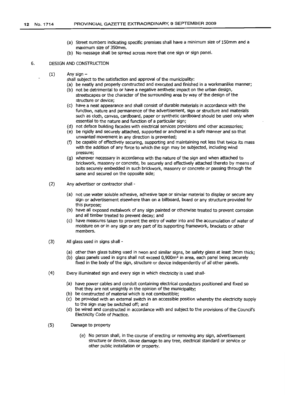- (a) Street numbers indicating specific premises shall have a minimum size of 150mm and a maximum size of 350mm.
- (b) No message shall be spread across more that one sign or sign panel.

#### 6. DESIGN AND CONSTRUCTION

- $(1)$  Any sign  $$ 
	- shall subject to the satisfaction and approval of the municipality:
	- (a) be neatly and properly constructed and executed and finished in a workmanlike manner;
	- (b) not be detrimental to or have a negative aesthetic impact on the urban design, streetscapes or the character of the surrounding area by way of the design of the structure or device;
	- (c) have a neat appearance and shall consist of durable materials in accordance with the function, nature and permanence of the advertisement, sign or structure and materials such as cloth, canvas, cardboard, paper or synthetic cardboard should be used only when essential to the nature and function of a particular sign;
	- (d) not deface building facades with electrical services provisions and other accessories;
	- (e) be rigidly and securely attached, supported or anchored in a safe manner and so that unwanted movement in any direction is prevented;
	- (f) be capable of effectively securing, supporting and maintaining not less that twice its mass with the addition of any force to which the sign may be subjected, including wind pressure;
	- (g) wherever necessary in accordance with the nature of the sign and when attached to brickwork, masonry or concrete, be securely and effectively attached thereto by means of bolts securely embedded in such brickwork, masonry or concrete or passing through the same and secured on the opposite side;
- (2) Any advertiser or contractor shall
	- (a) not use water soluble adhesive, adhesive tape or similar material to display or secure any sign or advertisement elsewhere than on a billboard, board or any structure provided for this purpose;
	- (b) have all exposed metalwork of any sign painted or otherwise treated to prevent corrosion and all timber treated to prevent decay; and
	- (c) have measures taken to prevent the entry of water into and the accumulation of water of moisture on or in any sign or any part of its supporting framework, brackets or other members.
- (3) All glass used in signs shall
	- (a) other than glass tubing used in neon and similar signs, be safety glass at least 3mm thick;
	- (b) glass panels used in signs shall not exceed O,900m<sup>2</sup> in area, each panel being securely fixed in the body of the sign, structure or device independently of all other panels.
- (4) Every illuminated sign and every sign in which electricity is used shall-
	- (a) have power cables and conduit containing electrical conductors positioned and fixed so that they are not unsightly in the opinion of the municipality;
	- (b) be constructed of material which is not combustible;
	- (c) be provided with an external switch in an accessible position whereby the electricity supply to the sign may be switched off; and
	- (d) be wired and constructed in accordance with and SUbject to the provisions of the Council's Electricity Code of Practice.
- (5) Damage to property
	- (e) No person shall, in the course of erecting or removing any sign, advertisement structure or device, cause damage to any tree, electrical standard or service or other public installation or property.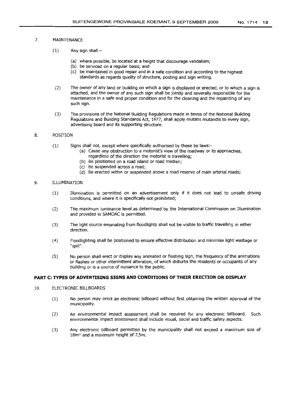## 7. MAINTENANCE

- $(1)$  Any sign shall  $-$ 
	- (a) where possible, be located at a height that discourage vandalism;
	- (b) be serviced on a regular basis; and
	- (c) be maintained in good repair and in a safe condition and according to the highest standards as regards quality of structure, posting and sign writing.
- (2) The owner of any land or building on which a sign is displayed or erected, or to which a sign is attached, and the owner of any such sign shall be jointly and severally responsible for the maintenance in a safe and proper condition and for the cleaning and the repainting of any such sign.
- (3) The provisions of the National Building Regulations made in terms of the National Building Regulations and Building Standards Act, 1977, shall apply mutatis mutandis to every sign, advertising board and its supporting structure.

## 8. POSITION

- (1) Signs shall not, except where specifically authorised by these by laws:-
	- (a) Cause any obstruction to a motorist's view of the roadway or its approaches, regardless of the direction the motorist is travelling;
	- (b) Be positioned on a road island or road median;
	- (c) Be suspended across a road;
	- (d) Be erected within or suspended above a road reserve of main arterial roads;

## 9. ILLUMINATION

- (1) Illumination is permitted on an advertisement only if it does not lead to unsafe driving conditions, and where it is specifically not prohibited;
- (2) The maximum luminance level as determined by the International Commission on Illumination and provided in SAMOAC is permitted.
- (3) The light source emanating from floodlights shall not be visible to traffic travelling in either direction.
- (4) Floodlighting shall be positioned to ensure effective distribution and minimise light wastage or "spill".
- (5) No person shall erect or display any animated or flashing sign, the frequency of the animations or flashes or other intermittent alteration, of which disturbs the residents or occupants of any building or is a source of nuisance to the public.

## **PART C: TYPES OF ADVERTISING SIGNS AND CONDITIONS OF THEIR ERECTION OR DISPLAY**

- 10. ELECTRONIC BILLBOARDS
	- (1) No person may erect an electronic billboard without first obtaining the written approval of the municipality.
	- (2) An environmental impact assessment shall be required for any electronic billboard. Such environmental impact assessment shall include visual, social and traffic safety aspects.
	- (3) Any electronic billboard permitted by the municipality shall not exceed a maximum size of 18m<sup>2</sup> and a maximum height of 7,5m.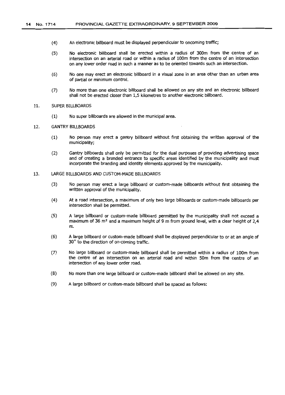- (4) An electronic billboard must be displayed perpendicular to oncoming traffic;
- (5) No electronic billboard shall be erected within a radius of 300m from the centre of an intersection on an arterial road or within a radius of 100m from the centre of an intersection on any lower order road in such a manner as to be oriented towards such an intersection.
- (6) No one may erect an electronic billboard in a visual zone in an area other than an urban area of partial or minimum control.
- (7) No more than one electronic billboard shall be allowed on any site and an electronic billboard shall not be erected closer than 1,5 kilometres to another electronic billboard.

#### 11. SUPER BILLBOARDS

(1) No super billboards are allowed in the municipal area.

#### 12. GANTRY BILLBOARDS

- (1) No person may erect a gantry billboard without first obtaining the written approval of the municipality;
- (2) Gantry billboards shall only be permitted for the dual purposes of providing advertising space and of creating a branded entrance to specific areas identified by the municipality and must incorporate the branding and identity elements approved by the municipality.

#### 13. LARGE BILLBOARDS AND CUSTOM-MADE BILLBOARDS

- (3) No person may erect a large billboard or custom-made billboards without first obtaining the written approval of the municipality.
- (4) At a road intersection, a maximum of only two large billboards or custom-made billboards per intersection shall be permitted.
- (5) A large billboard or custom-made billboard permitted by the municipality shall not exceed a maximum of 36 m<sup>2</sup> and a maximum height of 9 m from ground level, with a clear height of 2,4 m.
- (6) A large billboard or custom-made billboard shall be displayed perpendicular to or at an angle of 30° to the direction of on-coming traffic.
- (7) No large billboard or custom-made billboard shall be permitted within a radius of 100m from the centre of an intersection on an arterial road and within SOm from the centre of an intersection of any lower order road.
- (8) No more than one large billboard or custom-made billboard shall be allowed on any site.
- (9) A large billboard or custom-made billboard shall be spaced as follows: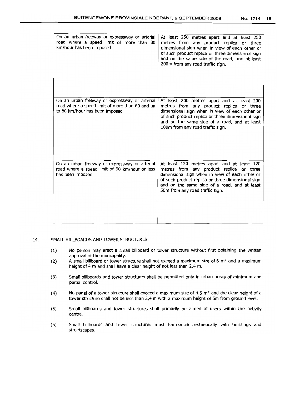| On an urban freeway or expressway or arterial<br>road where a speed limit of more than 80<br>km/hour has been imposed              | At least 250 metres apart and at least 250<br>metres from any product replica or three<br>dimensional sign when in view of each other or<br>of such product replica or three dimensional sign<br>and on the same side of the road, and at least<br>200m from any road traffic sign. |
|------------------------------------------------------------------------------------------------------------------------------------|-------------------------------------------------------------------------------------------------------------------------------------------------------------------------------------------------------------------------------------------------------------------------------------|
| On an urban freeway or expressway or arterial<br>road where a speed limit of more than 60 and up<br>to 80 km/hour has been imposed | At least 200 metres apart and at least 200<br>metres from any product replica or three<br>dimensional sign when in view of each other or<br>of such product replica or three dimensional sign<br>and on the same side of a road, and at least<br>100m from any road traffic sign.   |
| On an urban freeway or expressway or arterial<br>road where a speed limit of 60 km/hour or less<br>has been imposed                | At least 120 metres apart and at least 120<br>metres from any product replica or three<br>dimensional sign when in view of each other or<br>of such product replica or three dimensional sign<br>and on the same side of a road, and at least<br>50m from any road traffic sign.    |

#### 14. SMALL BILLBOARDS AND TOWER STRUCTURES

- (1) No person may erect a small billboard or tower structure without first obtaining the written approval of the municipality.
- (2) A small billboard or tower structure shall not exceed a maximum size of 6  $m^2$  and a maximum height of 4 m and shall have a clear height of not less than 2,4 m.
- (3) Small billboards and tower structures shall be permitted only in urban areas of minimum and partial control.
- (4) No panel of a tower structure shall exceed a maximum size of  $4.5 \text{ m}^2$  and the clear height of a tower structure shall not be less than 2,4 m with a maximum height of 5m from ground level.
- (5) Small billboards and tower structures shall primarily be aimed at users within the activity centre.
- (6) Small billboards and tower structures must harmonize aesthetically with buildings and streetscapes.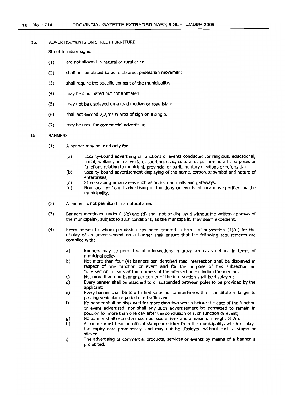#### 15. ADVERTISEMENTS ON STREET FURNITURE

Street furniture signs:

- (1) are not allowed in natural or rural areas.
- (2) shall not be placed so as to obstruct pedestrian movement.
- (3) shall require the specific consent of the municipality.
- (4) may be illuminated but not animated.
- (5) may not be displayed on a road median or road island.
- $(6)$  shall not exceed 2,2, m<sup>2</sup> in area of sign on a single.
- (7) may be used for commercial advertising.

#### 16. BANNERS

- (1) A banner may be used only for-
	- (a) Locality-bound advertising of functions or events conducted for religious, educational, social, welfare, animal welfare, sporting, civic, cultural or performing arts purposes or functions relating to municipal, provincial or parliamentary elections or referenda;
	- (b) Locality-bound advertisement displaying of the name, corporate symbol and nature of enterprises;
	- (c) Streetscaping urban areas such as pedestrian malls and gateways.
	- (d) Non locality- bound advertising of functions or events at locations specified by the municipality.
- (2) A banner is not permitted in a natural area.
- (3) Banners mentioned under  $(1)(c)$  and  $(d)$  shall not be displayed without the written approval of the municipality, subject to such conditions, as the municipality may deem expedient.
- (4) Every person to whom permission has been granted in terms of subsection (1)(d) for the display of an advertisement on a banner shall ensure that the following requirements are complied with:
	- a) Banners may be permitted at intersections in urban areas as defined in terms of municipal policy;
	- b) Not more than four (4) banners per identified road intersection shall be displayed in respect of one function or event and for the purpose of this subsection an "intersection" means all four corners of the intersection excluding the median;
	- c) Not more than one banner per corner of the intersection shall be displayed;
	- d) Every banner shall be attached to or suspended between poles to be provided by the applicant;
	- e) Every banner shall be so attached so as not to interfere with or constitute a danger to passing vehicular or pedestrian traffic; and
	- f) No banner shall be displayed for more than two weeks before the date of the function or event advertised, nor shall any such advertisement be permitted to remain in position for more than one day after the conclusion of such function or event;
	- g) No banner shall exceed a maximum size of 6m<sup>2</sup> and a maximum height of 2m.
	- h) A banner must bear an official stamp or sticker from the municipality, which displays the expiry date prominently, and may not be displayed without such a stamp or sticker.
	- i) The advertising of commercial products, services or events by means of a banner is prohibited.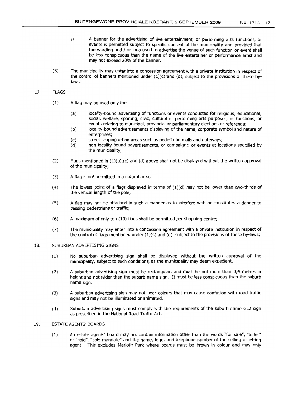- j) A banner for the advertising of live entertainment, or performing arts functions, or events is permitted subject to specific consent of the municipality and provided that the wording and / or logo used to advertise the venue of such function or event shall be less conspicuous than the name of the live entertainer or performance artist and may not exceed 20% of the banner.
- (5) The municipality may enter into a concession agreement with a private institution in respect of the control of banners mentioned under  $(1)(c)$  and  $(d)$ , subject to the provisions of these bylaws;

## 17. FLAGS

- (1) A flag may be used only for-
	- (a) locality-bound advertising of functions or events conducted for religious, educational, social, welfare, sporting, civic, cultural or performing arts purposes, or functions, or events relating to municipal, provincial or parliamentary elections or referenda;
	- (b) locality-bound advertisements displaying of the name, corporate symbol and nature of enterprises;
	- (c) street scaping urban areas such as pedestrian malls and gateways;
	- (d) non-locality bound advertisements, or campaigns, or events at locations specified by the municipality;
- $(2)$  Flags mentioned in  $(1)(a)$ ,  $(c)$  and  $(d)$  above shall not be displayed without the written approval of the municipality;
- (3) A flag is not permitted in a natural area;
- (4) The lowest point of a flags displayed in terms of  $(1)(d)$  may not be lower than two-thirds of the vertical length of the pole;
- (5) A flag may not be attached in such a manner as to interfere with or constitutes a danger to passing pedestrians or traffic;
- (6) A maximum of only ten (10) flags shall be permitted per shopping centre;
- (7) The municipality may enter into a concession agreement with a private institution in respect of the control of flags mentioned under  $(1)(c)$  and  $(d)$ , subject to the provisions of these by-laws;

#### 18. SUBURBAN ADVERTISING SIGNS

- (1) No suburban advertising sign shall be displayed without the written approval of the municipality, subject to such conditions, as the municipality may deem expedient.
- (2) A suburban advertising sign must be rectangular, and must be not more than 0,4 metres in height and not wider than the suburb name sign. It must be less conspicuous than the suburb name sign.
- (3) A suburban advertising sign may not bear colours that may cause confusion with road traffic signs and may not be illuminated or animated.
- (4) Suburban advertising signs must comply with the requirements of the suburb name GL2 sign as prescribed in the National Road Traffic Act.

## 19. ESTATE AGENTS' BOARDS

(1) An estate aqents' board may not contain information other than the words "for sale", "to let" or "sold", "sole mandate" and the name, logo, and telephone number of the selling or letting agent. This excludes Marloth Park where boards must be brown in colour and may only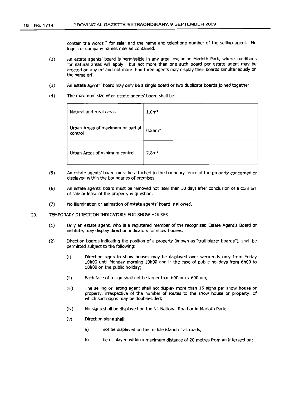contain the words" for sale" and the name and telephone number of the selling agent. No logo's or company names may be contained.

- (2) An estate agents' board is permissible in any area, excluding Marloth Park, where conditions for natural areas will apply, but not more than one such board per estate agent may be erected on any erf and not more than three agents may display their boards simultaneously on the same erf.
- (3) An estate agents' board may only be a single board or two duplicate boards joined together.
- (4) The maximum size of an estate agents' board shall be-

| Natural and rural areas                      | 1,0m <sup>2</sup>  |
|----------------------------------------------|--------------------|
| Urban Areas of maximum or partial<br>control | 0,55m <sup>2</sup> |
| Urban Areas of minimum control               | 2,8m <sup>2</sup>  |

- (5) An estate agents' board must be attached to the boundary fence of the property concerned or displayed within the boundaries of premises.
- (6) An estate agents' board must be removed not later than 30 days after conclusion of a contract of sale or lease of the property in question.
- (7) No illumination or animation of estate agents' board is allowed.
- 20. TEMPORARY DIRECTION INDICATORS FOR SHOW HOUSES
	- (1) Only an estate agent, who is a registered member of the recognised Estate Agent's Board or institute, may display direction indicators for show houses;
	- (2) Direction boards indicating the position of a property (known as "trail blazer boards"), shall be permitted subject to the following:
		- (i) Direction signs to show houses may be displayed over weekends only from Friday 10hOO until Monday morning 10hOO and in the case of public holidays from 6hOO to 18hOO on the public holiday;
		- (ii) Each face of a sign shall not be larger than 600mm x 600mm;
		- (iii) The selling or letting agent shall not display more than 15 signs per show house or property, irrespective of the number of routes to the show house or property. of which such signs may be double-sided;
		- (iv) No signs shall be displayed on the N4 National Road or in Marloth Park;
		- (v) Direction signs shall:
			- a) not be displayed on the middle island of all roads;
			- b) be displayed within a maximum distance of 20 metres from an intersection;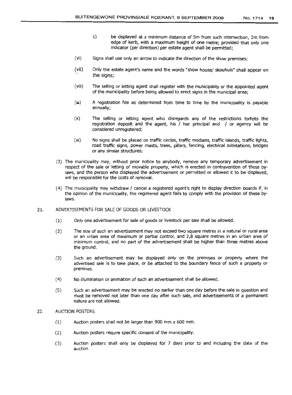- c) be displayed at a minimum distance of Sm from such intersection, 2m from edge of kerb, with a maximum height of one metre; provided that only one indicator (per direction) per estate agent shall be permitted;
- (vi) Signs shall use only an arrow to indicate the direction of the show premises;
- (vii) Only the estate agent's name and the words "show house/ skouhuis" shall appear on the signs;
- (viii) The selling or letting agent shall register with the municipality or the appointed agent of the municipality before being allowed to erect signs in the municipal area;
- $(ix)$ A registration fee as determined from time to time by the municipality is payable annually;
- (x) The selling or letting agent who disregards any of the restrictions forfeits the registration deposit and the agent, his / her principal and / or agency will be considered unregistered;
- (xi) No signs shall be placed on traffic circles, traffic medians, traffic islands, traffic lights, road traffic signs, power masts, trees, pillars, fencing, electrical substations, bridges or any similar structures;
- (3) The municipality may, without prior notice to anybody, remove any temporary advertisement in respect of the sale or letting of movable property, which is erected in contravention of these bylaws, and the person who displayed the advertisement or permitted or allowed it to be displayed, will be responsible for the costs of removal.
- (4) The municipality may withdraw / cancel a registered agent's right to display direction boards if, in the opinion of the municipality, the registered agent fails to comply with the provision of these bylaws.

#### 21. ADVERTISEMENTS FOR SALE OF GOODS OR LIVESTOCK

- (1) Only one advertisement for sale of goods or livestock per sale shall be allowed.
- (2) The size of such an advertisement may not exceed two square metres in a natural or rural area or an urban area of maximum or partial control, and 2,8 square metres in an urban area of minimum control, and no part of the advertisement shall be higher than three metres above the ground.
- (3) Such an advertisement may be displayed only on the premises or property where the advertised sale is to take place, or be attached to the boundary fence of such a property or premises.
- (4) No illumination or animation of such an advertisement shall be allowed.
- (5) Such an advertisement may be erected no earlier than one day before the sale in question and must be removed not later than one day after such sale, and advertisements of a permanent nature are not allowed.

## 22. AUCTION POSTERS

- (1) Auction posters shall not be larger than 900 mm x 600 mm.
- (2) Auction posters require specific consent of the municipality.
- (3) Auction posters shall only be displayed for 7 days prior to and including the date of the auction.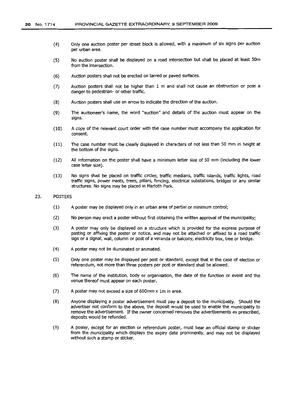- (4) Only one auction poster per street block is allowed, with a maximum of six signs per auction per urban area.
- (5) No auction poster shall be displayed on a road intersection but shall be placed at least 50m from the intersection.
- (6) Auction posters shall not be erected on tarred or paved surfaces.
- (7) Auction posters shall not be higher than 1 m and shall not cause an obstruction or pose a danger to pedestrian- or other traffic.
- (8) Auction posters shall use an arrow to indicate the direction of the auction.
- (9) The auctioneer's name, the word "auction" and details of the auction must appear on the signs.
- (10) A copy of the relevant court order with the case number must accompany the application for consent.
- (11) The case number must be clearly displayed in characters of not less than 50 mm in height at the bottom of the signs.
- (12) All information on the poster shall have a minimum letter size of 50 mm (including the lower case letter size).
- (13) No signs shall be placed on traffic circles, traffic medians, traffic islands, traffic lights, road traffic signs, power masts, trees, pillars, fencing, electrical substations, bridges or any similar structures. No signs may be placed in Marloth Park.

#### 23. POSTERS

- (1) A poster may be displayed only in an urban area of partial or minimum control;
- (2) No person may erect a poster without first obtaining the written approval of the municipality;
- (3) A poster may only be displayed on a structure which is provided for the express purpose of pasting or affixing the poster or notice, and may not be attached or affixed to a road traffic sign or a signal, wall, column or post of a veranda or balcony, electricity box, tree or bridge.
- (4) A poster may not be illuminated or animated.
- (5) Only one poster may be displayed per post or standard, except that in the case of election or referendum, not more than three posters per post or standard shall be allowed.
- (6) The name of the institution, body or organisation, the date of the function or event and the venue thereof must appear on each poster.
- (7) A poster may not exceed a size of 600mm x 1m in area.
- (8) Anyone displaying a poster advertisement must pay a deposit to the municipality. Should the advertiser not conform to the above, the deposit would be used to enable the municipality to remove the advertisement. If the owner concerned removes the advertisements as prescribed, deposits would be refunded.
- (9) A poster, except for an election or referendum poster, must bear an official stamp or sticker from the municipality which displays the expiry date prominently, and may not be displayed without such a stamp or sticker.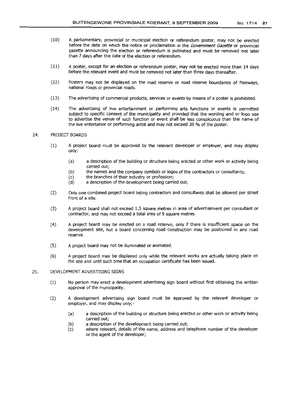- (10) A parliamentary, provincial or municipal election or referendum poster, may not be erected before the date on which the notice or proclamation in the *Govemment Gazette* or provincial gazette announcing the election or referendum is published and must be removed not later than 7 days after the date of the election or referendum.
- (11) A poster, except for an election or referendum poster, may not be erected more than 14 days before the relevant event and must be removed not later than three days thereafter.
- (12) Posters may not be displayed on the road reserve or road reserve boundaries of freeways, national roads or provincial roads.
- (13) The advertising of commercial products, services or events by means of a poster is prohibited.
- (14) The advertising of live entertainment or performing arts functions or events is permitted subject to specific consent of the municipality and provided that the wording and or logo use to advertise the venue of such function or event shall be less conspicuous than the name of the live entertainer or performing artist and may not exceed 20 % of the poster.

## 24. PROJECT BOARDS

- (1) A project board must be approved by the relevant developer or employer, and may display only:
	- (a) a description of the building or structure being erected or other work or activity being carried out;
	- (b) the names and the company symbols or logos of the contractors or consultants;
	- (c) the branches of their industry or profession;
	- (d) a description of the development being carried out;
- (2) Only one combined project board listing contractors and consultants shall be allowed per street front of a site.
- (3) A project board shall not exceed 1,5 square metres in area of advertisement per consultant or contractor, and may not exceed a total area of 9 square metres.
- (4) A project board may be erected on a road reserve, only if there is insufficient space on the development site, but a board concerning road construction may be positioned in any road reserve.
- (5) A project board may not be illuminated or animated.
- (6) A project board may be displayed only while the relevant works are actually taking place on the site and until such time that an occupation certificate has been issued.

#### 25. DEVELOPMENT ADVERTISING SIGNS

- (1) No person may erect a development advertising sign board without first obtaining the written approval of the municipality.
- (2) A development advertising sign board must be approved by the relevant developer or employer, and may display only;-
	- (a) a description of the building or structure being erected or other work or activity being carried out;
	- (b) a description of the development being carried out;
	- (c) where relevant, details of the name, address and telephone number of the developer or the agent of the developer;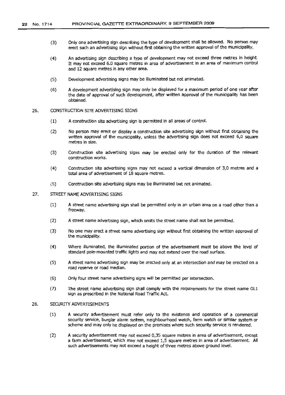- (3) Only one advertising sign describing the type of development shall be allowed. No person may erect such an advertising sign without first obtaining the written approval of the municipality.
- (4) An advertising sign describing a type of development may not exceed three metres in height. It may not exceed 6.0 square metres in area of advertisement in an area of maximum control and 12 square metres in any other area.
- (5) Development advertising signs may be illuminated but not animated.
- (6) A development advertising sign may only be displayed for a maximum period of one year after the date of approval of such development, after written approval of the municipality has been obtained.
- 26. CONSTRUCTION SITE ADVERTISING SIGNS
	- (1) A construction site advertising sign is permitted in all areas of control.
	- (2) No person may erect or display a construction site advertising sign without first obtaining the written approval of the municipality, unless the advertising sign does not exceed 6,0 square metres in size.
	- (3) Construction site advertising signs may be erected only for the duration of the relevant construction works.
	- (4) Construction site advertising signs may not exceed a vertical dimension of 3,0 metres and a total area of advertisement of 18 square metres.
	- (5) Construction site advertising signs may be illuminated but not animated.

## 27. STREET NAME ADVERTISING SIGNS

- (1) A street name advertising sign shall be permitted only in an urban area on a road other than a freeway.
- (2) A street name advertising sign, which omits the street name shall not be permitted.
- (3) No one may erect a street name advertising sign without first obtaining the written approval of the municipality.
- (4) Where illuminated, the illuminated portion of the advertisement must be above the level of standard pole-mounted traffic lights and may not extend over the road surface.
- (5) A street name advertising sign may be erected only at an intersection and may be erected on a road reserve or road median.
- (6) Only four street name advertising signs will be permitted per intersection.
- (7) The street name advertising sign shall comply with the requirements for the street name GLl sign as prescribed in the National Road Traffic Act.

#### 28. SECURITY ADVERTISEMENTS

- (1) A security advertisement must refer only to the existence and operation of a commercial security service, burglar alarm system, neighbourhood watch, farm watch or similar system or scheme and may only be displayed on the premises where such security service is rendered.
- (2) A security advertisement may not exceed 0,35 square metres in area of advertisement, except a farm advertisement, which may not exceed 1,5 square metres in area of advertisement. All such advertisements may not exceed a height of three metres above ground level.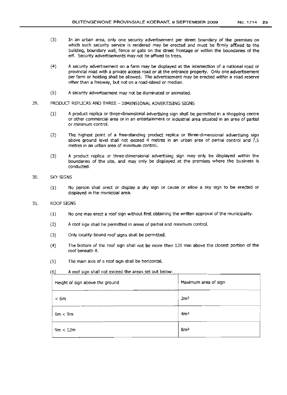- (3) In an urban area, only one security advertisement per street boundary of the premises on which such security service is rendered may be erected and must be firmly affixed to the building, boundary wall, fence or gate on the street frontage or within the boundaries of the erf. Security advertisements may not be affixed to trees.
- (4) A security advertisement on a farm may be displayed at the intersection of a national road or provincial road with a private access road or at the entrance property. Only one advertisement per farm or holding shall be allowed. The advertisement may be erected within a road reserve other than a freeway, but not on a road-island or median.
- (5) A security advertisement may not be illuminated or animated.
- 29. PRODUCT REPUCAS AND THREE- DIMENSIONALADVERTISING SIGNS
	- (1) A product replica or three-dimensional advertising sign shall be permitted in a shopping centre or other commercial area or in an entertainment or industrial area situated in an area of partial or minimum control.
	- (2) The highest point of a free-standing product replica or three-dimensional advertising sign above ground level shall not exceed 4 metres in an urban area of partial control and 7,5 metres in an urban area of minimum control.
	- (3) A product replica or three-dimensional advertising sign may only be displayed within the boundaries of the site, and may only be displayed at the premises where the business is conducted.
- 30. SKY SIGNS
	- (1) No person shall erect or display a sky sign or cause or allow a sky sign to be erected or displayed in the municipal area.
- 31. ROOF SIGNS
	- (1) No one may erect a roof sign without first obtaining the written approval of the municipality.
	- (2) A roof sign shall be permitted in areas of partial and minimum control.
	- (3) Only locality-bound roof signs shall be permitted.
	- (4) The bottom of the roof sign shall not be more than 120 mm above the closest portion of the roof beneath it.
	- (5) The main axis of a roof sign shall be horizontal.

(6) A roof sign shall not exceed the areas set out below:

| Height of sign above the ground | Maximum area of sign |
|---------------------------------|----------------------|
| < 6m                            | 2m <sup>2</sup>      |
| 6m < 9m                         | 4m <sup>2</sup>      |
| 9m < 12m                        | 8m <sup>2</sup>      |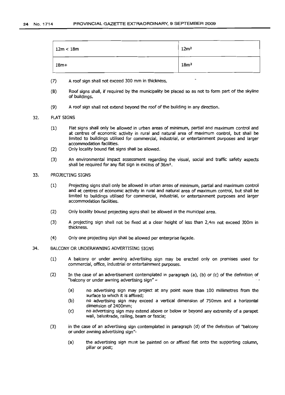| 12m < 18m | 12m <sup>2</sup> |
|-----------|------------------|
| $18m+$    | 18m <sup>2</sup> |

- (7) A roof sign shall not exceed 300 mm in thickness.
- (8) Roof signs shall, if required by the municipality be placed so as not to form part of the skyline of buildings.
- (9) A roof sign shall not extend beyond the roof of the building in any direction.

## 32. FLAT SIGNS

- (1) Flat signs shall only be allowed in urban areas of minimum, partial and maximum control and at centres of economic activity in rural and natural area of maximum control, but shall be limited to buildings utilised for commercial, industrial, or entertainment purposes and larger accommodation facilities.
- (2) Only locality bound flat signs shall be allowed.
- (3) An environmental impact assessment regarding the visual, social and traffic safety aspects shall be required for any flat sign in excess of 36m<sup>2</sup>.

## 33. PROJECT1NG SIGNS

- (1) Projecting signs shall only be allowed in urban areas of minimum, partial and maximum control and at centres of economic activity in rural and natural area of maximum control, but shall be limited to buildings utilised for commercial, industrial, or entertainment purposes and larger accommodation facilities.
- (2) Only locality bound projecting signs shall be allowed in the municipal area.
- (3) A projecting sign shall not be fixed at a clear height of less than 2,4m not exceed 300m in thickness.
- (4) Only one projecting sign shall be allowed per enterprise facade.

## 34. BALCONY OR UNDERAWNING ADVERTISING SIGNS

- (1) A balcony or under awning advertising sign may be erected only on premises used for commercial, office, industrial or entertainment purposes.
- (2) In the case of an advertisement contemplated in paragraph (a), (b) or (c) of the definition of "balcony or under awning advertising sign" -
	- (a) no advertising sign may project at any point more than 100 millimetres from the surface to which it is affixed;
	- (b) no advertising sign may exceed a vertical dimension of 750mm and a horizontal dimension of 2400mm;
	- (c) no advertising sign may extend above or below or beyond any extremity of a parapet wall, balustrade, railing, beam or fascia;
- (3) in the case of an advertising sign contemplated in paragraph (d) of the definition of "balcony or under awning advertising sign"-
	- (a) the advertising sign must be painted on or affixed flat onto the supporting column, pillar or post;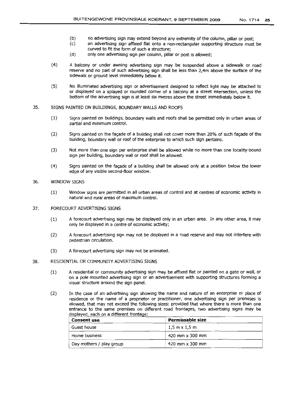- (b) no advertising sign may extend beyond any extremity of the column, pillar or post;
- (c) an advertising sign affixed flat onto a non-rectangular supporting structure must be curved to fit the form of such a structure;
- (d) only one advertising sign per column, pillar or post is allowed;
- (4) A balcony or under awning advertising sign may be suspended above a sidewalk or road reserve and no part of such advertising sign shall be less than 2,4m above the surface of the sidewalk or ground level immediately below it.
- (5) No illuminated advertising sign or advertisement designed to reflect light may be attached to or displayed on a splayed or rounded corner of a balcony at a street intersection, unless the bottom of the advertising sign is at least six metres above the street immediately below it.

#### 35. SIGNS PAINTED ON BUILDINGS, BOUNDARY WALLS AND ROOFS

- (1) Signs painted on buildings, boundary walls and roofs shall be permitted only in urban areas of partial and minimum control.
- (2) Signs painted on the facade of a building shall not cover more than 20% of such facade of the building, boundary wall or roof of the enterprise to which such sign pertains.
- (3) Not more than one sign per enterprise shall be allowed while no more than one locality-bound sign per building, boundary wall or roof shall be allowed.
- (4) Signs painted on the facade of a building shall be allowed only at a position below the lower edge of any visible second-floor window.

#### 36. WINDOW SIGNS

- (1) Window signs are permitted in all urban areas of control and at centres of economic activity in natural and rural areas of maximum control.
- 37. FORECOURT ADVERTISING SIGNS
	- (1) A forecourt advertising sign may be displayed only in an urban area. In any other area, it may only be displayed in a centre of economic activity;
	- (2) A forecourt advertising sign may not be displayed in a road reserve and may not interfere with pedestrian circulation.
	- (3) A forecourt advertising sign may not be animated.

#### 38. RESIDENTIAL OR COMMUNITY ADVERTISING SIGNS

- (1) A residential or community advertising sign may be affixed flat or painted on a gate or wall, or on a pole mounted advertising sign or an advertisement with supporting structures forming a visual structure around the sign panel.
- displayed, each on a different frontage: (2) In the case of an advertising sign showing the name and nature of an enterprise or place of residence or the name of a proprietor or practitioner, one advertising sign per premises is allowed, that may not exceed the following sizes: provided that where there is more than one entrance to the same premises on different road frontages, two advertising signs may be

| <b>Consent use</b>       | Permissable size                     |
|--------------------------|--------------------------------------|
| Guest house              | $1.5 \text{ m} \times 1.5 \text{ m}$ |
| Home business            | 420 mm x 300 mm                      |
| Day mothers / play group | 420 mm $\times$ 300 mm               |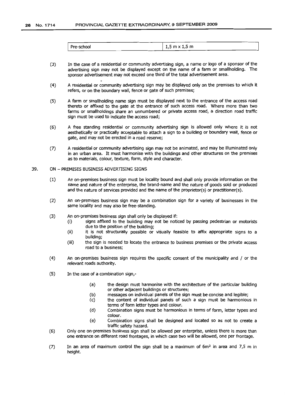| Pre-school | $1,5 \text{ m} \times 1,5 \text{ m}$ |  |
|------------|--------------------------------------|--|

- (3) In the case of a residential or community advertising sign, a name or logo of a sponsor of the advertising sign may not be displayed except on the name of a farm or smallholding. The sponsor advertisement may not exceed one third of the total advertisement area.
- (4) A residential or community advertising sign may be displayed only on the premises to which it refers, or on the boundary wall, fence or gate of such premises;
- (5) A farm or smallholding name sign must be displayed next to the entrance of the access road thereto or affixed to the gate at the entrance of such access road. Where more than two farms or smallholdings share an unnumbered or private access road, a direction road traffic sign must be used to indicate the access road;
- (6) A free standing residential or community advertising sign is allowed only where it is not aesthetically or practically acceptable to attach a sign to a building or boundary wall, fence or gate, and may not be erected in a road reserve;
- (7) A residential or community advertising sign may not be animated, and may be illuminated only in an urban area. It must harmonise with the buildings and other structures on the premises as to materials, colour, texture, form, style and character.
- 39. ON PREMISES BUSINESS ADVERTISING SIGNS
	- (1) An on-premises business sign must be locality bound and shall only provtde information on the name and nature of the enterprise, the brand-name and the nature of goods sold or produced and the nature of services provided and the name of the proprietor(s) or practitioner(s).
	- (2) An on-premises business sign may be a combination sign for a variety of businesses in the same locality and may also be free-standing.
	- (3) An on-premises business sign shall only be displayed if:
		- (i) signs affixed to the building may not be noticed by passing pedestrian or motorists due to the position of the building;
		- (ii) it is not structurally possible or visually feasible to affix appropriate signs to a building;
		- (iii) the sign is needed to locate the entrance to business premises or the private access road to a business;
	- (4) An on-premises business sign requires the specific consent of the municipality and / or the relevant roads authority.
	- (5) In the case of a combination sign,-
		- (a) the design must harmonise with the architecture of the particular building or other adjacent buildings or structures;
		- (b) messages on individual panels of the sign must be concise and legible;
		- (c) the content of individual panels of such a sign must be harmonious in terms of form letter types and colour.
		- (d) Combination signs must be harmonious in terms of form, letter types and colour.
		- (e) Combination signs shall be designed and located so as not to create a traffic safety hazard.
	- (6) Only one on-premises business sign shall be allowed per enterprise, unless there is more than one entrance on different road frontages, in which case two will be allowed, one per frontage.
	- (7) In an area of maximum control the sign shall be a maximum of  $6m<sup>2</sup>$  in area and 7,5 m in height.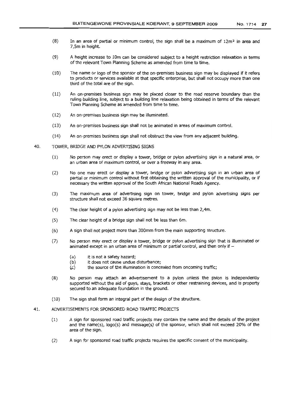- $(8)$  In an area of partial or minimum control, the sign shall be a maximum of  $12m^2$  in area and 7,5m in height.
- (9) A height increase to 10m can be considered subject to a height restriction relaxation in terms of the relevant Town Planning Scheme as amended from time to time.
- (10) The name or logo of the sponsor of the on-premises business sign may be displayed if it refers to products or services available at that specific enterprise, but shall not occupy more than one third of the total are of the sign.
- (11) An on-premises business sign may be placed closer to the road reserve boundary than the ruling building line, subject to a building line relaxation being obtained in terms of the relevant Town Planning Scheme as amended from time to time.
- (12) An on-premises business sign may be illuminated.
- (13) An on-premises business sign shall not be animated in areas of maximum control.
- (14) An on-premises business sign shall not obstruct the view from any adjacent building.
- 40. TOWER, BRIDGE AND PYLON ADVERTISING SIGNS
	- (1) No person may erect or display a tower, bridge or pylon advertising sign in a natural area, or an urban area of maximum control, or over a freeway in any area.
	- (2) No one may erect or display a tower, bridge or pylon advertising sign in an urban area of partial or minimum control without first obtaining the written approval of the municipality, or if necessary the written approval of the South African National Roads Agency.
	- (3) The maximum area of advertising sign on tower, bridge and pylon advertising signs per structure shall not exceed 36 square metres.
	- (4) The clear height of a pylon advertising sign may not be less than 2,4m.
	- (5) The clear height of a bridge sign shall not be less than 6m.
	- (6) A sign shall not project more than 300mm from the main supporting structure.
	- (7) No person may erect or display a tower, bridge or pylon advertising sign that is illuminated or animated except in an urban area of minimum or partial control, and then only if  $-$ 
		- (a) it is not a safety hazard;
		- (b) it does not cause undue disturbance;
		- $(c)$  the source of the illumination is concealed from oncoming traffic;
	- (8) No person may attach an advertisement to a pylon unless the pylon is independently supported without the aid of guys, stays, brackets or other restraining devices, and is property secured to an adequate foundation in the ground.
	- (10) The sign shall form an integral part of the design of the structure.

## 41. ADVERTISEMENTS FOR SPONSORED ROADTRAFFIC PROJECTS

- (1) A sign for sponsored road traffic projects may contain the name and the details of the project and the name(s), logo(s) and message(s) of the sponsor, which shall not exceed 20% of the area of the sign.
- (2) A sign for sponsored road traffic projects requires the specific consent of the municipality.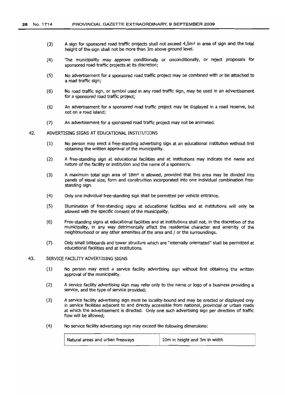- (3) A sign for sponsored road traffic projects shall not exceed 4,Sm<sup>2</sup> in area of sign and the total height of the sign shall not be more than 3m above ground level.
- (4) The municipality may approve conditionally or unconditionally, or reject proposals for sponsored road traffic projects at its discretion;
- (5) No advertisement for a sponsored road traffic project may be combined with or be attached to a road traffic sign;
- (6) No road traffic sign, or symbol used in any road traffic sign, may be used in an advertisement for a sponsored road traffic project;
- (6) An advertisement for a sponsored road traffic project may be displayed in a road reserve, but not on a road island;
- (7) An advertisement for a sponsored road traffic project may not be animated.
- 42. ADVERTISING SIGNS AT EDUCATIONAL INSTITUTIONS
	- (1) No person may erect a free-standing advertising sign at an educational institution without first obtaining the written approval of the municipality.
	- (2) A free-standing sign at educational facilities and at institutions may indicate the name and nature of the facility or institution and the name of a sponsor/s.
	- (3) A maximum total sign area of  $18m^2$  is allowed, provided that this area may be divided into panels of equal size, form and construction incorporated into one individual combination freestanding sign.
	- (4) Only one individual free-standing sign shall be permitted per vehicle entrance.
	- (5) Illumination of free-standing signs at educational facilities and at institutions will only be allowed with the specific consent of the municipality.
	- (6) Free-standing signs at educational facilities and at institutions shall not, in the discretion of the municipality, in any way detrimentally affect the residential character and amenity of the neighbourhood or any other amenities of the area and / or the surroundings.
	- (7) Only small billboards and tower structure which are "internally orientated" shall be permitted at educational facilities and at institutions.
- 43. SERVICE FACILITY ADVERTISING SIGNS
	- (1) No person may erect a service facility advertising sign without first obtaining the written approval of the municipality.
	- (2) A service facility advertising sign may refer only to the name or logo of a business providing a service, and the type of service provided:
	- (3) A service facility advertising sign must be locality-bound and may be erected or displayed only in service facilities adjacent to and directly accessible from national, provincial or urban roads at which the advertisement is directed. Only one such advertising sign per direction of traffic flow will be allowed;
	- (4) No service facility advertising sign may exceed the following dimensions:

| Natural areas and urban freeways | 10m in height and 3m in width |
|----------------------------------|-------------------------------|
|----------------------------------|-------------------------------|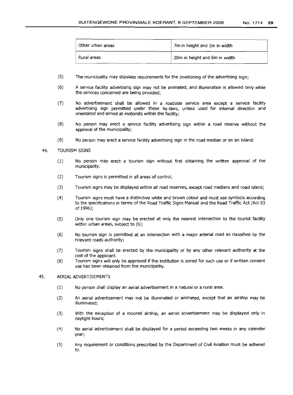| Other urban areas | 7m in height and 2m in width  |
|-------------------|-------------------------------|
| Rural areas       | 20m in height and 6m in width |

- (5) The municipality may stipulate requirements for the positioning of the advertising sign;
- (6) A service facility advertising sign may not be animated, and illumination is allowed only while the services concerned are being provided;
- (7) No advertisement shall be allowed in a roadside service area except a service facility advertising sign permitted under these by-laws, unless used for internal direction and orientated and aimed at motorists within the facility;
- (8) No person may erect a service facility advertising sign within a road reserve without the approval of the municipality;
- (9) No person may erect a service facility advertising sign in the road median or on an island.

#### 44. TOURISM SIGNS

- (1) No person may erect a tourism sign without first obtaining the written approval of the municipality.
- (2) Tourism signs is permitted in all areas of control;
- (3) Tourism signs may be displayed within all road reserves, except road medians and road island;
- (4) Tourism signs must have a distinctive white and brown colour and must use symbols according to the specifications in terms of the Road Traffic Signs Manual and the Road Traffic Act (Act 93 of 1996);
- (5) Only one tourism sign may be erected at only the nearest intersection to the tourist facility within urban areas, subject to (6);
- (6) No tourism sign is permitted at an intersection with a major arterial road as classified by the relevant roads authority;
- (7) Tourism signs shall be erected by the municipality or by any other relevant authority at the cost of the applicant.
- (8) Tourism signs will only be approved if the institution is zoned for such use or if written consent use has been obtained from the municipality.

#### 45. AERIALADVERTISEMENTS

- (1) No person shall display an aerial advertisement in a natural or a rural area.
- (2) An aerial advertisement may not be illuminated or animated, except that an airship may be illuminated;
- (3) With the exception of a moored airship, an aerial advertisement may be displayed only in daylight hours;
- (4) No aerial advertisement shall be displayed for a period exceeding two weeks in any calender year;
- (5) Any requirement or conditions prescribed by the Department of Civil Aviation must be adhered to.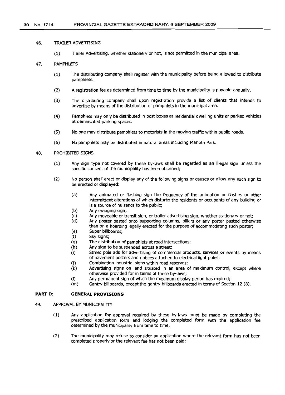#### 46. TRAILER ADVERTISING

(1) Trailer Advertising, whether stationery or not, is not permitted in the municipal area.

#### 47. PAMPHLETS

- (1) The distributing company shall register with the municipality before being allowed to distribute pamphlets.
- (2) A registration fee as determined from time to time by the municipality is payable annually.
- (3) The distributing company shall upon registration provide a Jist of clients that intends to advertise by means of the distribution of pamphlets in the municipal area.
- (4) Pamphlets may only be distributed in post boxes at residential dwelling units or parked vehicles at demarcated parking spaces.
- (5) No one may distribute pamphlets to motorists in the moving traffic within public roads.
- (6) No pamphlets may be distributed in natural areas including Marloth Park.

### 48. PROHIBITED SIGNS

- (1) Any sign type not covered by these by-laws shall be regarded as an illegal sign unless the specific consent of the municipality has been obtained;
- (2) No person shall erect or display any of the following signs or causes or allow any such sign to be erected or displayed:
	- (a) Any animated or flashing sign the frequency of the animation or flashes or other intermittent alterations of which disturbs the residents or occupants of any building or is a source of nuisance to the public;
	- (b) Any swinging sign;
	- (c) Any moveable or transit sign, or trailer advertising sign, whether stationary or not;
	- Any poster pasted onto supporting columns, pillars or any poster pasted otherwise than on a hoarding legally erected for the purpose of accommodating such poster;
	- (e) Super billboards;
	- (f) Sky signs;
	- (g) The distribution of pamphlets at road intersections;
	- (h) Any sign to be suspended across a street;
	- (i) Street pole ads for advertising of commercial products, services or events by means of pavement posters and notices attached to electrical light poles;
	- (j) Combination industrial signs within road reserves;
	- (k) Advertising signs on land situated in an area of maximum control, except where otherwise provided for in terms of these by-laws;
	- (I) Any permanent sign of which the maximum display period has expired;
	- (m) Gantry billboards, except the gantry billboards erected in terms of Section 12 (8).

## **PART D: GENERAL PROVISIONS**

- 49. APPROVAL BY MUNICIPALITY
	- (1) Any application for approval required by these by-laws must be made by completing the prescribed application form and lodging the completed form with the application fee determined by the municipality from time to time;
	- (2) The municipality may refuse to consider an application where the relevant form has not been completed properly or the relevant fee has not been paid;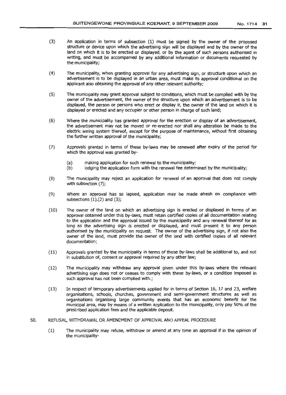- (3) An application in terms of subsection (1) must be signed by the owner of the proposed structure or device upon which the advertising sign will be displayed and by the owner of the land on which it is to be erected or displayed, or by the agent of such persons authorised in writing, and must be accompanied by any additional information or documents requested by the municipality;
- (4) The municipality, when granting approval for any advertising sign, or structure upon which an advertisement is to be displayed in an urban area, must make its approval conditional on the applicant also obtaining the approval of any other relevant authority;
- (5) The municipality may grant approval subject to conditions, which must be complied with by the owner of the advertisement, the owner of the structure upon which an advertisement is to be displayed, the person or persons who erect or display it, the owner of the land on which it is displayed or erected and any occupier or other person in charge of such land;
- (6) Where the municipality has granted approval for the erection or display of an advertisement, the advertisement may not be moved or re-erected nor shall any alteration be made to the electric wiring system thereof, except for the purpose of maintenance, without first obtaining the further written approval of the municipality;
- (7) Approvals granted in terms of these by-laws may be renewed after expiry of the period for which the approval was granted by-
	- (a) making application for such renewal to the municipality;
	- (b) lodging the application form with the renewal fee determined by the municipality;
- (8) The municipality may reject an application for renewal of an approval that does not comply with subsection (7);
- (9) Where an approval has so lapsed, application may be made afresh on compliance with subsections  $(1)$ , $(2)$  and  $(3)$ ;
- (10) The owner of the land on which an advertising sign is erected or displayed in terms of an approval obtained under this by-laws, must retain certified copies of all documentation relating to the application and the approval issued by the municipality and any renewal thereof for as long as the advertising sign is erected or displayed, and must present it to any person authorised by the municipality on request. The owner of the advertising sign, if not also the owner of the land, must provide the owner of the land with certified copies of all relevant documentation;
- (11) Approvals granted by the municipality in terms of these by-laws shall be additional to, and not in substitution of, consent or approval required by any other law;
- (12) The municipality may withdraw any approval given under this by-laws where the relevant advertising sign does not or ceases to comply with these by-laws, or a condition imposed in such approval has not been complied With.;
- (13) In respect of temporary advertisements applied for in terms of Section 16, 17 and 23, welfare organisations, schools, churches, government and semi-government structures as well as organisations organising large community events that has an economic benefit for the municipal area, may by means of a written application to the municipality, only pay 50% of the prescribed application fees and the applicable deposit.
- *50.* REFUSAL, WITHDRAWAL OR AMENDMENT OF APPROVAL AND APPEAL PROCEDURE
	- (1) The municipality may refuse, withdraw or amend at any time an approval if in the opinion of the municipality-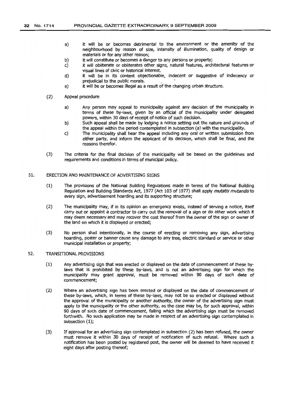- a) it will be or becomes detrimental to the environment or the amenity of the neighbourhood by reason of size, intensity of illumination, quality of design or materials or for any other reason;
- b) it will constitute or becomes a danger to any persons or property;
- c) it will obliterate or obliterates other signs, natural features, architectural features or visual lines of civic or historical interest.
- d) it will be in its content objectionable, indecent or suggestive of indecency or prejudicial to the public morals. .
- e) it will be or becomes illegal as a result of the changing urban structure.
- (2) Appeal procedure
	- a) Any person may appeal to municipality against any decision of the municipality in terms of these by-laws, given by an official of the municipality under delegated powers, within 30 days of receipt of notice of such decision.
	- b) Such appeal shall be made by lodging a notice setting out the nature and grounds of the appeal within the period contemplated in subsection (a) with the municipality.
	- c) The municipality shall hear the appeal including any oral or written submission from either party, and inform the applicant of its decision, which shall be final, and the reasons therefor.
- (3) The criteria for the final decision of the municipality will be based on the guidelines and requirements and conditions in terms of municipal policy.

#### 51. ERECTION AND MAINTENANCE OF ADVERTISING SIGNS

- (1) The provisions of the National Building Regulations made in terms of the National Building Regulation and BUilding Standards Act, 1977 (Act 103 of 1977) shall apply *mutatis mutandis*to every sign, advertisement hoarding and its supporting structure;
- (2) The municipality may, if in its opinion an emergency exists, instead of serving a notice, itself carry out or appoint a contractor to carry out the removal of a sign or do other work which it may deem necessary and may recover the cost thereof from the owner of the sign or owner of the land on which it is displayed or erected;
- (3) No person shall intentionally, in the course of erecting or removing any sign, advertising hoarding, poster or banner cause any damage to any tree, electric standard or service or other municipal installation or property;

## 52. TRANSITIONAL PROVISIONS

- (1) Any advertising sign that was erected or displayed on the date of commencement of these bylaws that is prohibited by these by-laws, and is not an advertising sign for which the municipality may grant approval, must be removed within 90 days of such date of commencement;
- (2) Where an advertising sign has been erected or displayed on the date of commencement of these by-laws, which, in terms of these by-laws, may not be so erected or displayed Without the approval of the municipality or another authority, the owner of the advertising sign must apply to the municipality or the other authority, as the case may be, for such approval, within 90 days of such date of commencement, failing which the advertising sign must be removed forthwith. No such application may be made in respect of an advertising sign contemplated in subsection (1);
- (3) If approval for an advertising sign contemplated in subsection (2) has been refused, the owner must remove it within 30 days of receipt of notification of such refusal. Where such a notification has been posted by registered post, the owner will be deemed to have received it eight days after posting thereof;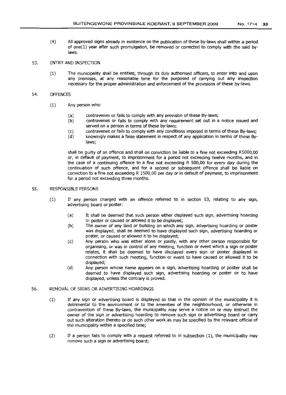(4) All approved signs already in existence on the publication of these by-laws shall within a period of one(1) year after such promulgation, be removed or corrected to comply with the said bylaws.

## 53. ENTRY AND INSPECTION

(1) The municipality shall be entitled, through its dulv authorised officers, to enter into and upon any premises, at any reasonable time for the purposed of carrying out any inspection necessary for the proper administration and enforcement of the provisions of these by-laws.

### 54. OFFENCES

- (1) Any person who:
	- (a) contravenes or fails to comply with any provision of these By-laws;
	- (b) contravenes or fails to comply with any requirement set out in a notice issued and served on a person in terms of these by-laws;
	- (c) contravenes or fails to comply with any conditions imposed in terms of these By-laws;
	- (d) knowingly makes a false statement in respect of any application in terms of these Bylaws;

shall be guilty of an offence and shall on conviction be liable to a fine not exceeding R5000,OO or, in default of payment, to imprisonment for a period not exceeding twelve months, and in the case of a continuing offence to a fine not exceeding R 500,00 for every day during the continuation of such offence, and for a second or subsequent offence shall be liable on conviction to a fine not exceeding R 1500,00 per day or in default of payment, to imprisonment for a period not exceeding three months.

## 55. RESPONSIBLE PERSONS

- (1) If any person charged with an offence referred to in section 53, relating to any sign, advertising board or poster:
	- (a) It shall be deemed that such person either displayed such sign, advertising hoarding or poster or caused or allowed it to be displayed;
	- (b) The owner of any land or building on which any sign, advertising hoarding or poster was displayed, shall be deemed to have displayed such sign, advertising hoarding or poster, or caused or allowed it to be displayed;
	- (c) Any person who was either alone or jointly, with any other person responsible for organising, or was in control of any meeting, function or event which a sign or poster relates, it shall be deemed to have displayed every sign or poster displayed in connection with such meeting, function or event to have caused or allowed it to be displayed;
	- (d) Any person whose name appears on a sign, advertising hoarding or poster shall be deemed to have displayed such sign, advertising hoarding or poster or to have displayed, unless the contrary is proved.

## 56. REMOVAL OF SIGNS OR ADVERTISING HOARDINGS

- (1) If any sign or advertising board is displayed so that in the opinion of the municipality it is detrimental to the environment or to the amenities of the neighbourhood, or otherwise in contravention of these By-laws, the municipality may serve a notice on or may instruct the owner of the sign or advertising hoarding to remove such sign or advertising board or carry out such alteration thereto or do such other work as may be specified by the relevant official of the municipality within a specified time;
- (2) If a person fails to comply with a request referred to in subsection (1), the municipality may remove such a sign or advertising board;